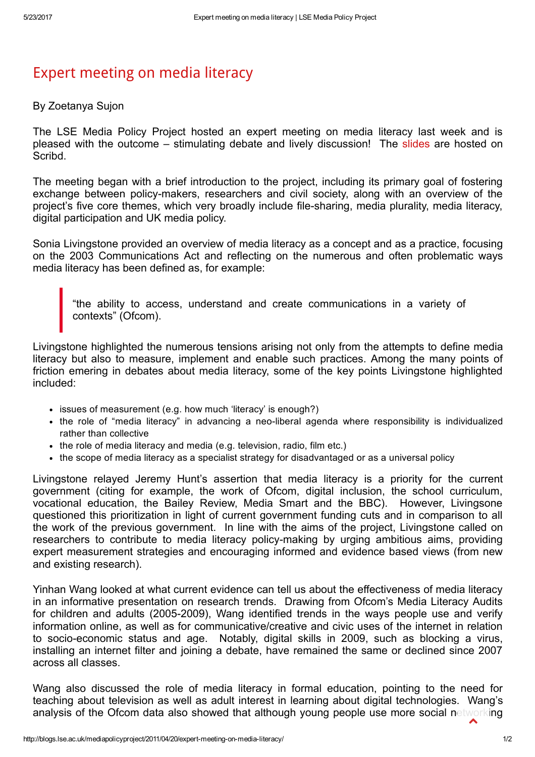## Expert [meeting](http://blogs.lse.ac.uk/mediapolicyproject/2011/04/20/expert-meeting-on-media-literacy/) on media literacy

## By Zoetanya Sujon

The LSE Media Policy Project hosted an expert meeting on media literacy last week and is pleased with the outcome – stimulating debate and lively discussion! The [slides](http://www.scribd.com/doc/53420967/MPP-Media-Literacy) are hosted on **Scribd** 

The meeting began with a brief introduction to the project, including its primary goal of fostering exchange between policy-makers, researchers and civil society, along with an overview of the project's five core themes, which very broadly include file-sharing, media plurality, media literacy, digital participation and UK media policy.

Sonia Livingstone provided an overview of media literacy as a concept and as a practice, focusing on the 2003 Communications Act and reflecting on the numerous and often problematic ways media literacy has been defined as, for example:

"the ability to access, understand and create communications in a variety of contexts" (Ofcom).

Livingstone highlighted the numerous tensions arising not only from the attempts to define media literacy but also to measure, implement and enable such practices. Among the many points of friction emering in debates about media literacy, some of the key points Livingstone highlighted included:

- issues of measurement (e.g. how much 'literacy' is enough?)
- the role of "media literacy" in advancing a neo-liberal agenda where responsibility is individualized rather than collective
- the role of media literacy and media (e.g. television, radio, film etc.)
- the scope of media literacy as a specialist strategy for disadvantaged or as a universal policy

Livingstone relayed Jeremy Hunt's assertion that media literacy is a priority for the current government (citing for example, the work of Ofcom, digital inclusion, the school curriculum, vocational education, the Bailey Review, Media Smart and the BBC). However, Livingsone questioned this prioritization in light of current government funding cuts and in comparison to all the work of the previous government. In line with the aims of the project, Livingstone called on researchers to contribute to media literacy policy-making by urging ambitious aims, providing expert measurement strategies and encouraging informed and evidence based views (from new and existing research).

Yinhan Wang looked at what current evidence can tell us about the effectiveness of media literacy in an informative presentation on research trends. Drawing from Ofcom's Media Literacy Audits for children and adults (2005-2009), Wang identified trends in the ways people use and verify information online, as well as for communicative/creative and civic uses of the internet in relation to socio-economic status and age. Notably, digital skills in 2009, such as blocking a virus, installing an internet filter and joining a debate, have remained the same or declined since 2007 across all classes.

Wang also discussed the role of media literacy in formal education, pointing to the need for teaching about television as well as adult interest in learning about digital technologies. Wang's analysis of the Ofcom data also showed that although young people use more social networking  $\blacktriangle$